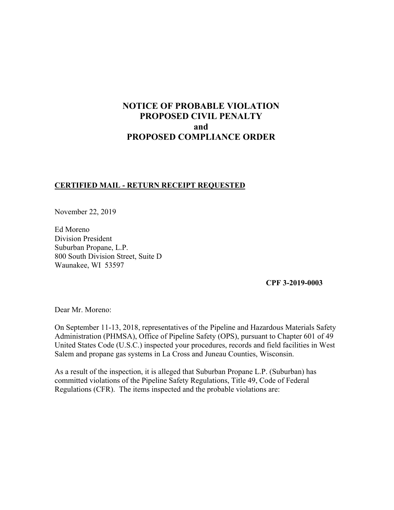# **NOTICE OF PROBABLE VIOLATION PROPOSED CIVIL PENALTY and PROPOSED COMPLIANCE ORDER**

## **CERTIFIED MAIL - RETURN RECEIPT REQUESTED**

November 22, 2019

Ed Moreno Division President Suburban Propane, L.P. 800 South Division Street, Suite D Waunakee, WI 53597

**CPF 3-2019-0003** 

Dear Mr. Moreno:

On September 11-13, 2018, representatives of the Pipeline and Hazardous Materials Safety Administration (PHMSA), Office of Pipeline Safety (OPS), pursuant to Chapter 601 of 49 United States Code (U.S.C.) inspected your procedures, records and field facilities in West Salem and propane gas systems in La Cross and Juneau Counties, Wisconsin.

As a result of the inspection, it is alleged that Suburban Propane L.P. (Suburban) has committed violations of the Pipeline Safety Regulations, Title 49, Code of Federal Regulations (CFR). The items inspected and the probable violations are: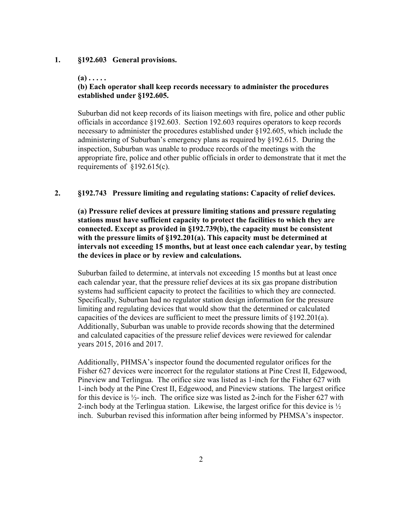#### **1. §192.603 General provisions.**

## **(a) . . . . .**

## **(b) Each operator shall keep records necessary to administer the procedures established under §192.605.**

Suburban did not keep records of its liaison meetings with fire, police and other public officials in accordance §192.603. Section 192.603 requires operators to keep records necessary to administer the procedures established under §192.605, which include the administering of Suburban's emergency plans as required by §192.615. During the inspection, Suburban was unable to produce records of the meetings with the appropriate fire, police and other public officials in order to demonstrate that it met the requirements of §192.615(c).

#### **2. §192.743 Pressure limiting and regulating stations: Capacity of relief devices.**

**(a) Pressure relief devices at pressure limiting stations and pressure regulating stations must have sufficient capacity to protect the facilities to which they are connected. Except as provided in §192.739(b), the capacity must be consistent with the pressure limits of §192.201(a). This capacity must be determined at intervals not exceeding 15 months, but at least once each calendar year, by testing the devices in place or by review and calculations.** 

Suburban failed to determine, at intervals not exceeding 15 months but at least once each calendar year, that the pressure relief devices at its six gas propane distribution systems had sufficient capacity to protect the facilities to which they are connected. Specifically, Suburban had no regulator station design information for the pressure limiting and regulating devices that would show that the determined or calculated capacities of the devices are sufficient to meet the pressure limits of §192.201(a). Additionally, Suburban was unable to provide records showing that the determined and calculated capacities of the pressure relief devices were reviewed for calendar years 2015, 2016 and 2017.

Additionally, PHMSA's inspector found the documented regulator orifices for the Fisher 627 devices were incorrect for the regulator stations at Pine Crest II, Edgewood, Pineview and Terlingua. The orifice size was listed as 1-inch for the Fisher 627 with 1-inch body at the Pine Crest II, Edgewood, and Pineview stations. The largest orifice for this device is  $\frac{1}{2}$ - inch. The orifice size was listed as 2-inch for the Fisher 627 with 2-inch body at the Terlingua station. Likewise, the largest orifice for this device is  $\frac{1}{2}$ inch. Suburban revised this information after being informed by PHMSA's inspector.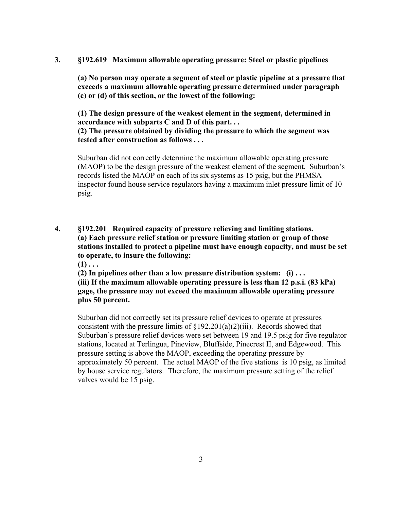## **3. §192.619 Maximum allowable operating pressure: Steel or plastic pipelines**

**(a) No person may operate a segment of steel or plastic pipeline at a pressure that exceeds a maximum allowable operating pressure determined under paragraph (c) or (d) of this section, or the lowest of the following:** 

**(1) The design pressure of the weakest element in the segment, determined in accordance with subparts C and D of this part. . . (2) The pressure obtained by dividing the pressure to which the segment was tested after construction as follows . . .** 

Suburban did not correctly determine the maximum allowable operating pressure (MAOP) to be the design pressure of the weakest element of the segment. Suburban's records listed the MAOP on each of its six systems as 15 psig, but the PHMSA inspector found house service regulators having a maximum inlet pressure limit of 10 psig.

**4. §192.201 Required capacity of pressure relieving and limiting stations. (a) Each pressure relief station or pressure limiting station or group of those stations installed to protect a pipeline must have enough capacity, and must be set to operate, to insure the following:** 

 $(1)$ ...

**(2) In pipelines other than a low pressure distribution system: (i) . . .** 

**(iii) If the maximum allowable operating pressure is less than 12 p.s.i. (83 kPa) gage, the pressure may not exceed the maximum allowable operating pressure plus 50 percent.** 

Suburban did not correctly set its pressure relief devices to operate at pressures consistent with the pressure limits of  $\S192.201(a)(2)(iii)$ . Records showed that Suburban's pressure relief devices were set between 19 and 19.5 psig for five regulator stations, located at Terlingua, Pineview, Bluffside, Pinecrest II, and Edgewood. This pressure setting is above the MAOP, exceeding the operating pressure by approximately 50 percent. The actual MAOP of the five stations is 10 psig, as limited by house service regulators. Therefore, the maximum pressure setting of the relief valves would be 15 psig.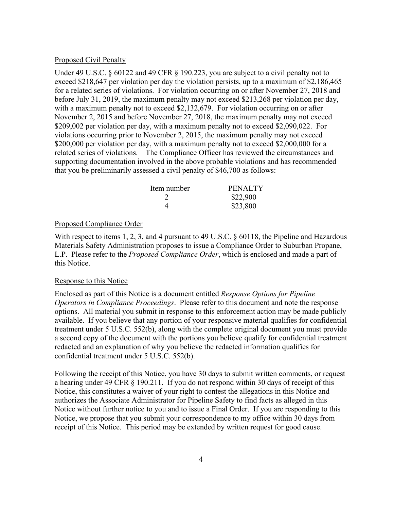#### Proposed Civil Penalty

Under 49 U.S.C. § 60122 and 49 CFR § 190.223, you are subject to a civil penalty not to exceed \$218,647 per violation per day the violation persists, up to a maximum of \$2,186,465 for a related series of violations. For violation occurring on or after November 27, 2018 and before July 31, 2019, the maximum penalty may not exceed \$213,268 per violation per day, with a maximum penalty not to exceed \$2,132,679. For violation occurring on or after November 2, 2015 and before November 27, 2018, the maximum penalty may not exceed \$209,002 per violation per day, with a maximum penalty not to exceed \$2,090,022. For violations occurring prior to November 2, 2015, the maximum penalty may not exceed \$200,000 per violation per day, with a maximum penalty not to exceed \$2,000,000 for a related series of violations. The Compliance Officer has reviewed the circumstances and supporting documentation involved in the above probable violations and has recommended that you be preliminarily assessed a civil penalty of \$46,700 as follows:

| Item number | <b>PENALTY</b> |
|-------------|----------------|
|             | \$22,900       |
|             | \$23,800       |

## Proposed Compliance Order

With respect to items 1, 2, 3, and 4 pursuant to 49 U.S.C. § 60118, the Pipeline and Hazardous Materials Safety Administration proposes to issue a Compliance Order to Suburban Propane, L.P. Please refer to the *Proposed Compliance Order*, which is enclosed and made a part of this Notice.

#### Response to this Notice

Enclosed as part of this Notice is a document entitled *Response Options for Pipeline Operators in Compliance Proceedings*. Please refer to this document and note the response options. All material you submit in response to this enforcement action may be made publicly available. If you believe that any portion of your responsive material qualifies for confidential treatment under 5 U.S.C. 552(b), along with the complete original document you must provide a second copy of the document with the portions you believe qualify for confidential treatment redacted and an explanation of why you believe the redacted information qualifies for confidential treatment under 5 U.S.C. 552(b).

Following the receipt of this Notice, you have 30 days to submit written comments, or request a hearing under 49 CFR § 190.211. If you do not respond within 30 days of receipt of this Notice, this constitutes a waiver of your right to contest the allegations in this Notice and authorizes the Associate Administrator for Pipeline Safety to find facts as alleged in this Notice without further notice to you and to issue a Final Order. If you are responding to this Notice, we propose that you submit your correspondence to my office within 30 days from receipt of this Notice. This period may be extended by written request for good cause.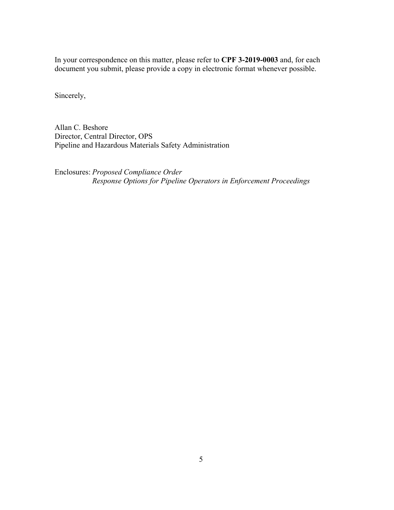In your correspondence on this matter, please refer to **CPF 3-2019-0003** and, for each document you submit, please provide a copy in electronic format whenever possible.

Sincerely,

Allan C. Beshore Director, Central Director, OPS Pipeline and Hazardous Materials Safety Administration

Enclosures: *Proposed Compliance Order Response Options for Pipeline Operators in Enforcement Proceedings*